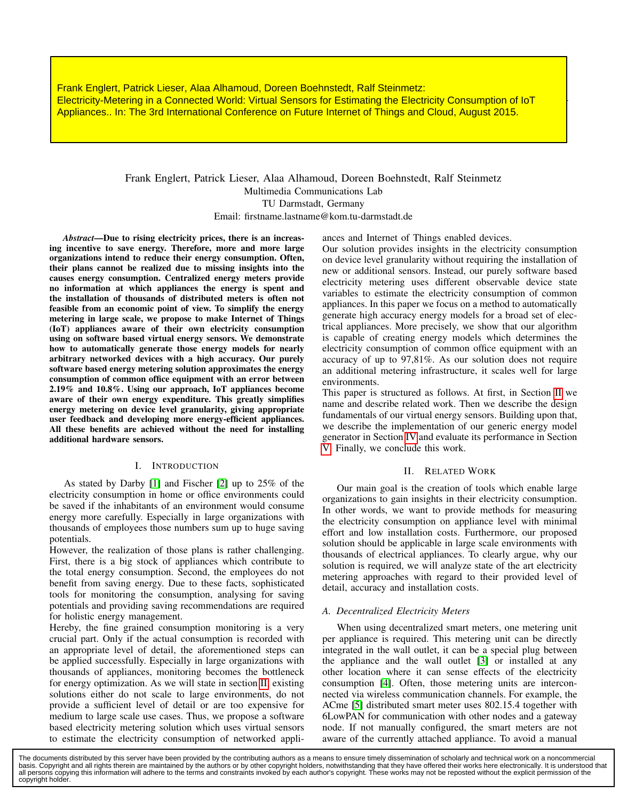Frank Englert, Patrick Lieser, Alaa Alhamoud, Doreen Boehnstedt, Ralf Steinmetz:<br>Electricity-Metering in a Connected World: Virtual Sensors for Estimating the Electricity Consumption of IoT Appliances.. In: The 3rd International Conference on Future Internet of Things and Cloud, August 2015.<br>. Frank Englert, Patrick Lieser, Alaa Alhamoud, Doreen Boehnstedt, Ralf Steinmetz:

Electricity-Metering in a Connected World: Virtual

Frank Englert, Patrick Lieser, Alaa Alhamoud, Doreen Boehnstedt, Ralf Steinmetz Multimedia Communications Lab TU Darmstadt, Germany Email: firstname.lastname@kom.tu-darmstadt.de

ances and Internet of Things enabled devices.

*Abstract*—Due to rising electricity prices, there is an increasing incentive to save energy. Therefore, more and more large organizations intend to reduce their energy consumption. Often, their plans cannot be realized due to missing insights into the causes energy consumption. Centralized energy meters provide no information at which appliances the energy is spent and the installation of thousands of distributed meters is often not feasible from an economic point of view. To simplify the energy metering in large scale, we propose to make Internet of Things (IoT) appliances aware of their own electricity consumption using on software based virtual energy sensors. We demonstrate how to automatically generate those energy models for nearly arbitrary networked devices with a high accuracy. Our purely software based energy metering solution approximates the energy consumption of common office equipment with an error between 2.19% and 10.8%. Using our approach, IoT appliances become aware of their own energy expenditure. This greatly simplifies energy metering on device level granularity, giving appropriate user feedback and developing more energy-efficient appliances. All these benefits are achieved without the need for installing additional hardware sensors.

## I. INTRODUCTION

As stated by Darby [1] and Fischer [2] up to 25% of the electricity consumption in home or office environments could be saved if the inhabitants of an environment would consume energy more carefully. Especially in large organizations with thousands of employees those numbers sum up to huge saving potentials.

However, the realization of those plans is rather challenging. First, there is a big stock of appliances which contribute to the total energy consumption. Second, the employees do not benefit from saving energy. Due to these facts, sophisticated tools for monitoring the consumption, analysing for saving potentials and providing saving recommendations are required for holistic energy management.

Hereby, the fine grained consumption monitoring is a very crucial part. Only if the actual consumption is recorded with an appropriate level of detail, the aforementioned steps can be applied successfully. Especially in large organizations with thousands of appliances, monitoring becomes the bottleneck for energy optimization. As we will state in section II, existing solutions either do not scale to large environments, do not provide a sufficient level of detail or are too expensive for medium to large scale use cases. Thus, we propose a software based electricity metering solution which uses virtual sensors to estimate the electricity consumption of networked appliOur solution provides insights in the electricity consumption on device level granularity without requiring the installation of new or additional sensors. Instead, our purely software based electricity metering uses different observable device state variables to estimate the electricity consumption of common appliances. In this paper we focus on a method to automatically generate high accuracy energy models for a broad set of electrical appliances. More precisely, we show that our algorithm is capable of creating energy models which determines the electricity consumption of common office equipment with an accuracy of up to 97,81%. As our solution does not require an additional metering infrastructure, it scales well for large environments.

This paper is structured as follows. At first, in Section II we name and describe related work. Then we describe the design fundamentals of our virtual energy sensors. Building upon that, we describe the implementation of our generic energy model generator in Section IV and evaluate its performance in Section V. Finally, we conclude this work.

## II. RELATED WORK

Our main goal is the creation of tools which enable large organizations to gain insights in their electricity consumption. In other words, we want to provide methods for measuring the electricity consumption on appliance level with minimal effort and low installation costs. Furthermore, our proposed solution should be applicable in large scale environments with thousands of electrical appliances. To clearly argue, why our solution is required, we will analyze state of the art electricity metering approaches with regard to their provided level of detail, accuracy and installation costs.

# *A. Decentralized Electricity Meters*

When using decentralized smart meters, one metering unit per appliance is required. This metering unit can be directly integrated in the wall outlet, it can be a special plug between the appliance and the wall outlet [3] or installed at any other location where it can sense effects of the electricity consumption [4]. Often, those metering units are interconnected via wireless communication channels. For example, the ACme [5] distributed smart meter uses 802.15.4 together with 6LowPAN for communication with other nodes and a gateway node. If not manually configured, the smart meters are not aware of the currently attached appliance. To avoid a manual

The documents distributed by this server have been provided by the contributing authors as a means to ensure timely dissemination of scholarly and technical work on a noncommercial basis. Copyright and all rights therein are maintained by the authors or by other copyright holders, notwithstanding that they have offered their works here electronically. It is understood that<br>all persons copying this in copyright holder.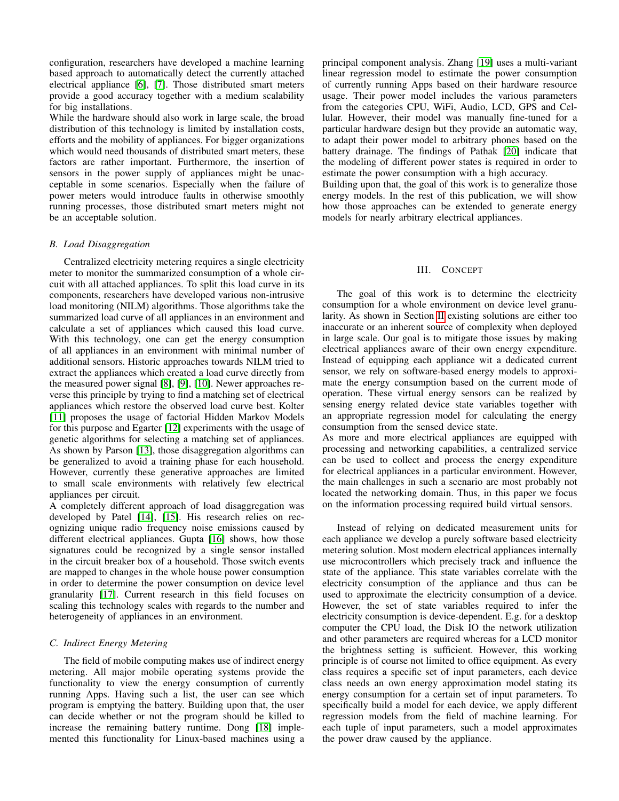configuration, researchers have developed a machine learning based approach to automatically detect the currently attached electrical appliance [6], [7]. Those distributed smart meters provide a good accuracy together with a medium scalability for big installations.

While the hardware should also work in large scale, the broad distribution of this technology is limited by installation costs, efforts and the mobility of appliances. For bigger organizations which would need thousands of distributed smart meters, these factors are rather important. Furthermore, the insertion of sensors in the power supply of appliances might be unacceptable in some scenarios. Especially when the failure of power meters would introduce faults in otherwise smoothly running processes, those distributed smart meters might not be an acceptable solution.

## *B. Load Disaggregation*

Centralized electricity metering requires a single electricity meter to monitor the summarized consumption of a whole circuit with all attached appliances. To split this load curve in its components, researchers have developed various non-intrusive load monitoring (NILM) algorithms. Those algorithms take the summarized load curve of all appliances in an environment and calculate a set of appliances which caused this load curve. With this technology, one can get the energy consumption of all appliances in an environment with minimal number of additional sensors. Historic approaches towards NILM tried to extract the appliances which created a load curve directly from the measured power signal [8], [9], [10]. Newer approaches reverse this principle by trying to find a matching set of electrical appliances which restore the observed load curve best. Kolter [11] proposes the usage of factorial Hidden Markov Models for this purpose and Egarter [12] experiments with the usage of genetic algorithms for selecting a matching set of appliances. As shown by Parson [13], those disaggregation algorithms can be generalized to avoid a training phase for each household. However, currently these generative approaches are limited to small scale environments with relatively few electrical appliances per circuit.

A completely different approach of load disaggregation was developed by Patel [14], [15]. His research relies on recognizing unique radio frequency noise emissions caused by different electrical appliances. Gupta [16] shows, how those signatures could be recognized by a single sensor installed in the circuit breaker box of a household. Those switch events are mapped to changes in the whole house power consumption in order to determine the power consumption on device level granularity [17]. Current research in this field focuses on scaling this technology scales with regards to the number and heterogeneity of appliances in an environment.

# *C. Indirect Energy Metering*

The field of mobile computing makes use of indirect energy metering. All major mobile operating systems provide the functionality to view the energy consumption of currently running Apps. Having such a list, the user can see which program is emptying the battery. Building upon that, the user can decide whether or not the program should be killed to increase the remaining battery runtime. Dong [18] implemented this functionality for Linux-based machines using a principal component analysis. Zhang [19] uses a multi-variant linear regression model to estimate the power consumption of currently running Apps based on their hardware resource usage. Their power model includes the various parameters from the categories CPU, WiFi, Audio, LCD, GPS and Cellular. However, their model was manually fine-tuned for a particular hardware design but they provide an automatic way, to adapt their power model to arbitrary phones based on the battery drainage. The findings of Pathak [20] indicate that the modeling of different power states is required in order to estimate the power consumption with a high accuracy.

Building upon that, the goal of this work is to generalize those energy models. In the rest of this publication, we will show how those approaches can be extended to generate energy models for nearly arbitrary electrical appliances.

## III. CONCEPT

The goal of this work is to determine the electricity consumption for a whole environment on device level granularity. As shown in Section II existing solutions are either too inaccurate or an inherent source of complexity when deployed in large scale. Our goal is to mitigate those issues by making electrical appliances aware of their own energy expenditure. Instead of equipping each appliance wit a dedicated current sensor, we rely on software-based energy models to approximate the energy consumption based on the current mode of operation. These virtual energy sensors can be realized by sensing energy related device state variables together with an appropriate regression model for calculating the energy consumption from the sensed device state.

As more and more electrical appliances are equipped with processing and networking capabilities, a centralized service can be used to collect and process the energy expenditure for electrical appliances in a particular environment. However, the main challenges in such a scenario are most probably not located the networking domain. Thus, in this paper we focus on the information processing required build virtual sensors.

Instead of relying on dedicated measurement units for each appliance we develop a purely software based electricity metering solution. Most modern electrical appliances internally use microcontrollers which precisely track and influence the state of the appliance. This state variables correlate with the electricity consumption of the appliance and thus can be used to approximate the electricity consumption of a device. However, the set of state variables required to infer the electricity consumption is device-dependent. E.g. for a desktop computer the CPU load, the Disk IO the network utilization and other parameters are required whereas for a LCD monitor the brightness setting is sufficient. However, this working principle is of course not limited to office equipment. As every class requires a specific set of input parameters, each device class needs an own energy approximation model stating its energy consumption for a certain set of input parameters. To specifically build a model for each device, we apply different regression models from the field of machine learning. For each tuple of input parameters, such a model approximates the power draw caused by the appliance.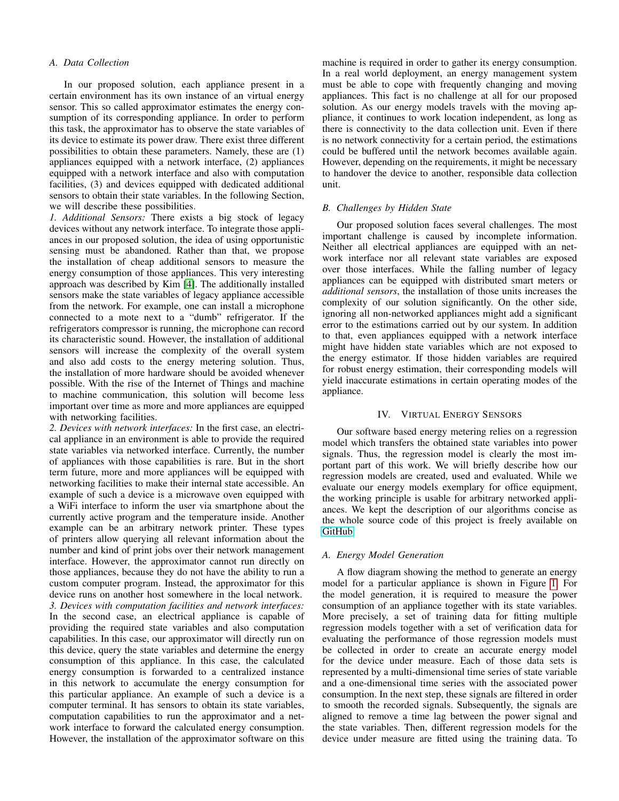## *A. Data Collection*

In our proposed solution, each appliance present in a certain environment has its own instance of an virtual energy sensor. This so called approximator estimates the energy consumption of its corresponding appliance. In order to perform this task, the approximator has to observe the state variables of its device to estimate its power draw. There exist three different possibilities to obtain these parameters. Namely, these are (1) appliances equipped with a network interface, (2) appliances equipped with a network interface and also with computation facilities, (3) and devices equipped with dedicated additional sensors to obtain their state variables. In the following Section, we will describe these possibilities.

*1. Additional Sensors:* There exists a big stock of legacy devices without any network interface. To integrate those appliances in our proposed solution, the idea of using opportunistic sensing must be abandoned. Rather than that, we propose the installation of cheap additional sensors to measure the energy consumption of those appliances. This very interesting approach was described by Kim [4]. The additionally installed sensors make the state variables of legacy appliance accessible from the network. For example, one can install a microphone connected to a mote next to a "dumb" refrigerator. If the refrigerators compressor is running, the microphone can record its characteristic sound. However, the installation of additional sensors will increase the complexity of the overall system and also add costs to the energy metering solution. Thus, the installation of more hardware should be avoided whenever possible. With the rise of the Internet of Things and machine to machine communication, this solution will become less important over time as more and more appliances are equipped with networking facilities.

*2. Devices with network interfaces:* In the first case, an electrical appliance in an environment is able to provide the required state variables via networked interface. Currently, the number of appliances with those capabilities is rare. But in the short term future, more and more appliances will be equipped with networking facilities to make their internal state accessible. An example of such a device is a microwave oven equipped with a WiFi interface to inform the user via smartphone about the currently active program and the temperature inside. Another example can be an arbitrary network printer. These types of printers allow querying all relevant information about the number and kind of print jobs over their network management interface. However, the approximator cannot run directly on those appliances, because they do not have the ability to run a custom computer program. Instead, the approximator for this device runs on another host somewhere in the local network. *3. Devices with computation facilities and network interfaces:* In the second case, an electrical appliance is capable of providing the required state variables and also computation capabilities. In this case, our approximator will directly run on this device, query the state variables and determine the energy consumption of this appliance. In this case, the calculated energy consumption is forwarded to a centralized instance in this network to accumulate the energy consumption for this particular appliance. An example of such a device is a computer terminal. It has sensors to obtain its state variables, computation capabilities to run the approximator and a network interface to forward the calculated energy consumption. However, the installation of the approximator software on this machine is required in order to gather its energy consumption. In a real world deployment, an energy management system must be able to cope with frequently changing and moving appliances. This fact is no challenge at all for our proposed solution. As our energy models travels with the moving appliance, it continues to work location independent, as long as there is connectivity to the data collection unit. Even if there is no network connectivity for a certain period, the estimations could be buffered until the network becomes available again. However, depending on the requirements, it might be necessary to handover the device to another, responsible data collection unit.

#### *B. Challenges by Hidden State*

Our proposed solution faces several challenges. The most important challenge is caused by incomplete information. Neither all electrical appliances are equipped with an network interface nor all relevant state variables are exposed over those interfaces. While the falling number of legacy appliances can be equipped with distributed smart meters or *additional sensors*, the installation of those units increases the complexity of our solution significantly. On the other side, ignoring all non-networked appliances might add a significant error to the estimations carried out by our system. In addition to that, even appliances equipped with a network interface might have hidden state variables which are not exposed to the energy estimator. If those hidden variables are required for robust energy estimation, their corresponding models will yield inaccurate estimations in certain operating modes of the appliance.

## IV. VIRTUAL ENERGY SENSORS

Our software based energy metering relies on a regression model which transfers the obtained state variables into power signals. Thus, the regression model is clearly the most important part of this work. We will briefly describe how our regression models are created, used and evaluated. While we evaluate our energy models exemplary for office equipment, the working principle is usable for arbitrary networked appliances. We kept the description of our algorithms concise as the whole source code of this project is freely available on [GitHub.](https://github.com/nglrt/virtual_energy_sensor/)

## *A. Energy Model Generation*

A flow diagram showing the method to generate an energy model for a particular appliance is shown in Figure 1. For the model generation, it is required to measure the power consumption of an appliance together with its state variables. More precisely, a set of training data for fitting multiple regression models together with a set of verification data for evaluating the performance of those regression models must be collected in order to create an accurate energy model for the device under measure. Each of those data sets is represented by a multi-dimensional time series of state variable and a one-dimensional time series with the associated power consumption. In the next step, these signals are filtered in order to smooth the recorded signals. Subsequently, the signals are aligned to remove a time lag between the power signal and the state variables. Then, different regression models for the device under measure are fitted using the training data. To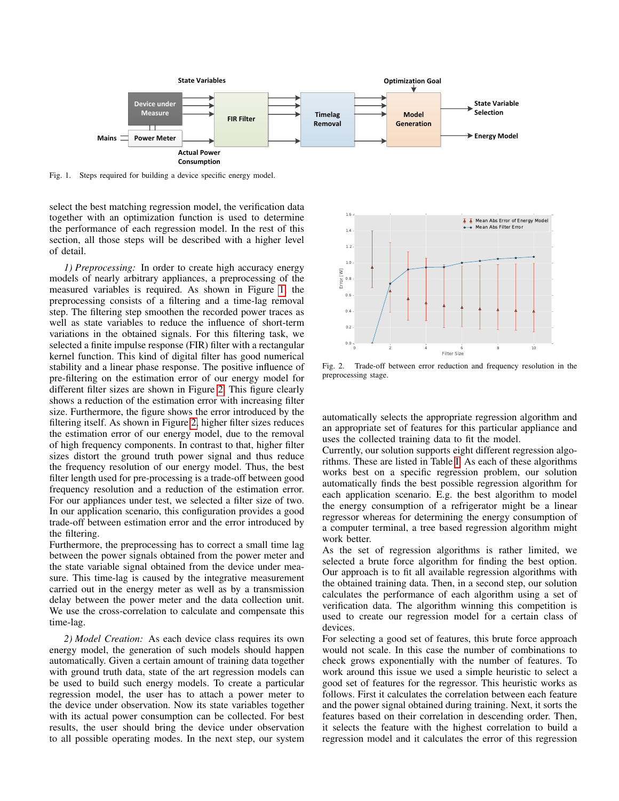

Fig. 1. Steps required for building a device specific energy model.

select the best matching regression model, the verification data together with an optimization function is used to determine the performance of each regression model. In the rest of this section, all those steps will be described with a higher level of detail.

*1) Preprocessing:* In order to create high accuracy energy models of nearly arbitrary appliances, a preprocessing of the measured variables is required. As shown in Figure 1, the preprocessing consists of a filtering and a time-lag removal step. The filtering step smoothen the recorded power traces as well as state variables to reduce the influence of short-term variations in the obtained signals. For this filtering task, we selected a finite impulse response (FIR) filter with a rectangular kernel function. This kind of digital filter has good numerical stability and a linear phase response. The positive influence of pre-filtering on the estimation error of our energy model for different filter sizes are shown in Figure 2. This figure clearly shows a reduction of the estimation error with increasing filter size. Furthermore, the figure shows the error introduced by the filtering itself. As shown in Figure 2, higher filter sizes reduces the estimation error of our energy model, due to the removal of high frequency components. In contrast to that, higher filter sizes distort the ground truth power signal and thus reduce the frequency resolution of our energy model. Thus, the best filter length used for pre-processing is a trade-off between good frequency resolution and a reduction of the estimation error. For our appliances under test, we selected a filter size of two. In our application scenario, this configuration provides a good trade-off between estimation error and the error introduced by the filtering.

Furthermore, the preprocessing has to correct a small time lag between the power signals obtained from the power meter and the state variable signal obtained from the device under measure. This time-lag is caused by the integrative measurement carried out in the energy meter as well as by a transmission delay between the power meter and the data collection unit. We use the cross-correlation to calculate and compensate this time-lag.

*2) Model Creation:* As each device class requires its own energy model, the generation of such models should happen automatically. Given a certain amount of training data together with ground truth data, state of the art regression models can be used to build such energy models. To create a particular regression model, the user has to attach a power meter to the device under observation. Now its state variables together with its actual power consumption can be collected. For best results, the user should bring the device under observation to all possible operating modes. In the next step, our system



Fig. 2. Trade-off between error reduction and frequency resolution in the preprocessing stage.

automatically selects the appropriate regression algorithm and an appropriate set of features for this particular appliance and uses the collected training data to fit the model.

Currently, our solution supports eight different regression algorithms. These are listed in Table I. As each of these algorithms works best on a specific regression problem, our solution automatically finds the best possible regression algorithm for each application scenario. E.g. the best algorithm to model the energy consumption of a refrigerator might be a linear regressor whereas for determining the energy consumption of a computer terminal, a tree based regression algorithm might work better.

As the set of regression algorithms is rather limited, we selected a brute force algorithm for finding the best option. Our approach is to fit all available regression algorithms with the obtained training data. Then, in a second step, our solution calculates the performance of each algorithm using a set of verification data. The algorithm winning this competition is used to create our regression model for a certain class of devices.

For selecting a good set of features, this brute force approach would not scale. In this case the number of combinations to check grows exponentially with the number of features. To work around this issue we used a simple heuristic to select a good set of features for the regressor. This heuristic works as follows. First it calculates the correlation between each feature and the power signal obtained during training. Next, it sorts the features based on their correlation in descending order. Then, it selects the feature with the highest correlation to build a regression model and it calculates the error of this regression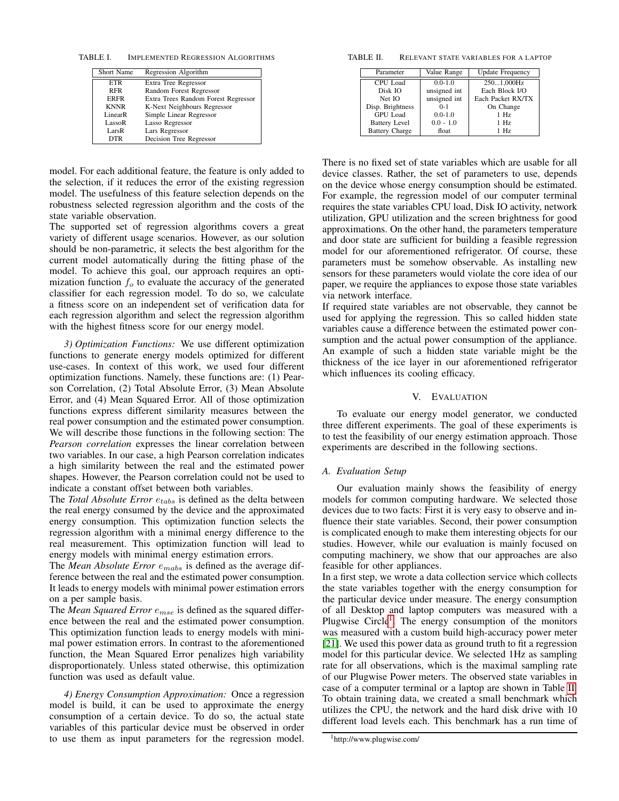TABLE I. IMPLEMENTED REGRESSION ALGORITHMS

| Short Name  | Regression Algorithm                |
|-------------|-------------------------------------|
| <b>ETR</b>  | Extra Tree Regressor                |
| <b>RFR</b>  | Random Forest Regressor             |
| <b>ERFR</b> | Extra Trees Random Forest Regressor |
| <b>KNNR</b> | K-Next Neighbours Regressor         |
| LinearR     | Simple Linear Regressor             |
| LassoR      | Lasso Regressor                     |
| LarsR       | Lars Regressor                      |
| <b>DTR</b>  | Decision Tree Regressor             |

model. For each additional feature, the feature is only added to the selection, if it reduces the error of the existing regression model. The usefulness of this feature selection depends on the robustness selected regression algorithm and the costs of the state variable observation.

The supported set of regression algorithms covers a great variety of different usage scenarios. However, as our solution should be non-parametric, it selects the best algorithm for the current model automatically during the fitting phase of the model. To achieve this goal, our approach requires an optimization function  $f<sub>o</sub>$  to evaluate the accuracy of the generated classifier for each regression model. To do so, we calculate a fitness score on an independent set of verification data for each regression algorithm and select the regression algorithm with the highest fitness score for our energy model.

*3) Optimization Functions:* We use different optimization functions to generate energy models optimized for different use-cases. In context of this work, we used four different optimization functions. Namely, these functions are: (1) Pearson Correlation, (2) Total Absolute Error, (3) Mean Absolute Error, and (4) Mean Squared Error. All of those optimization functions express different similarity measures between the real power consumption and the estimated power consumption. We will describe those functions in the following section: The *Pearson correlation* expresses the linear correlation between two variables. In our case, a high Pearson correlation indicates a high similarity between the real and the estimated power shapes. However, the Pearson correlation could not be used to indicate a constant offset between both variables.

The *Total Absolute Error*  $e_{tabs}$  is defined as the delta between the real energy consumed by the device and the approximated energy consumption. This optimization function selects the regression algorithm with a minimal energy difference to the real measurement. This optimization function will lead to energy models with minimal energy estimation errors.

The *Mean Absolute Error*  $e_{mabs}$  is defined as the average difference between the real and the estimated power consumption. It leads to energy models with minimal power estimation errors on a per sample basis.

The *Mean Squared Error*  $e_{mse}$  is defined as the squared difference between the real and the estimated power consumption. This optimization function leads to energy models with minimal power estimation errors. In contrast to the aforementioned function, the Mean Squared Error penalizes high variability disproportionately. Unless stated otherwise, this optimization function was used as default value.

*4) Energy Consumption Approximation:* Once a regression model is build, it can be used to approximate the energy consumption of a certain device. To do so, the actual state variables of this particular device must be observed in order to use them as input parameters for the regression model.

TABLE II. RELEVANT STATE VARIABLES FOR A LAPTOP

| Parameter             | Value Range  | <b>Update Frequency</b> |
|-----------------------|--------------|-------------------------|
| CPU Load              | $0.0 - 1.0$  | 2501,000Hz              |
| Disk IO               | unsigned int | Each Block I/O          |
| Net IO                | unsigned int | Each Packet RX/TX       |
| Disp. Brightness      | $0 - 1$      | On Change               |
| GPU Load              | $0.0 - 1.0$  | $1$ Hz                  |
| <b>Battery Level</b>  | $0.0 - 1.0$  | $1$ Hz                  |
| <b>Battery Charge</b> | float        | $1$ Hz                  |

There is no fixed set of state variables which are usable for all device classes. Rather, the set of parameters to use, depends on the device whose energy consumption should be estimated. For example, the regression model of our computer terminal requires the state variables CPU load, Disk IO activity, network utilization, GPU utilization and the screen brightness for good approximations. On the other hand, the parameters temperature and door state are sufficient for building a feasible regression model for our aforementioned refrigerator. Of course, these parameters must be somehow observable. As installing new sensors for these parameters would violate the core idea of our paper, we require the appliances to expose those state variables via network interface.

If required state variables are not observable, they cannot be used for applying the regression. This so called hidden state variables cause a difference between the estimated power consumption and the actual power consumption of the appliance. An example of such a hidden state variable might be the thickness of the ice layer in our aforementioned refrigerator which influences its cooling efficacy.

## V. EVALUATION

To evaluate our energy model generator, we conducted three different experiments. The goal of these experiments is to test the feasibility of our energy estimation approach. Those experiments are described in the following sections.

## *A. Evaluation Setup*

Our evaluation mainly shows the feasibility of energy models for common computing hardware. We selected those devices due to two facts: First it is very easy to observe and influence their state variables. Second, their power consumption is complicated enough to make them interesting objects for our studies. However, while our evaluation is mainly focused on computing machinery, we show that our approaches are also feasible for other appliances.

In a first step, we wrote a data collection service which collects the state variables together with the energy consumption for the particular device under measure. The energy consumption of all Desktop and laptop computers was measured with a Plugwise Circle<sup>1</sup>. The energy consumption of the monitors was measured with a custom build high-accuracy power meter [21]. We used this power data as ground truth to fit a regression model for this particular device. We selected 1Hz as sampling rate for all observations, which is the maximal sampling rate of our Plugwise Power meters. The observed state variables in case of a computer terminal or a laptop are shown in Table II. To obtain training data, we created a small benchmark which utilizes the CPU, the network and the hard disk drive with 10 different load levels each. This benchmark has a run time of

<sup>1</sup>http://www.plugwise.com/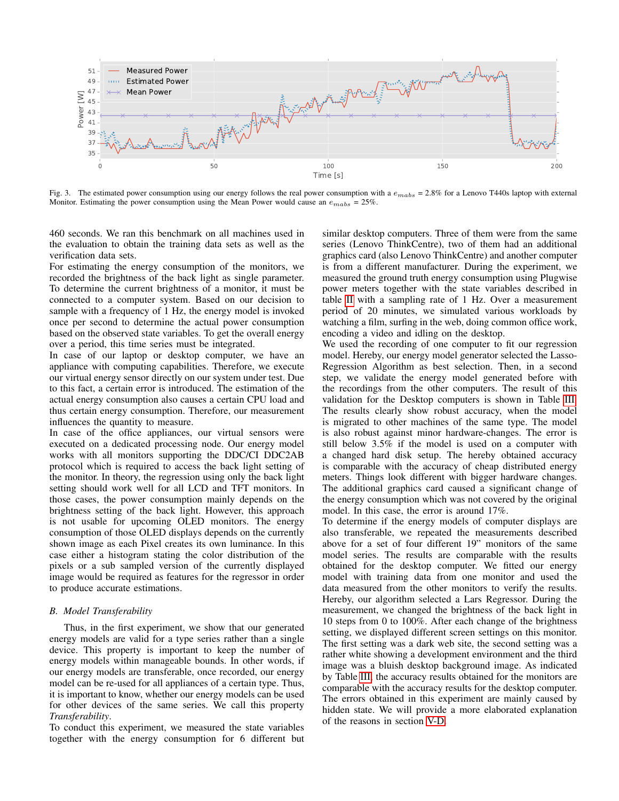

Fig. 3. The estimated power consumption using our energy follows the real power consumption with a  $e_{mabs} = 2.8\%$  for a Lenovo T440s laptop with external Monitor. Estimating the power consumption using the Mean Power would cause an  $e_{mabs} = 25\%$ .

460 seconds. We ran this benchmark on all machines used in the evaluation to obtain the training data sets as well as the verification data sets.

For estimating the energy consumption of the monitors, we recorded the brightness of the back light as single parameter. To determine the current brightness of a monitor, it must be connected to a computer system. Based on our decision to sample with a frequency of 1 Hz, the energy model is invoked once per second to determine the actual power consumption based on the observed state variables. To get the overall energy over a period, this time series must be integrated.

In case of our laptop or desktop computer, we have an appliance with computing capabilities. Therefore, we execute our virtual energy sensor directly on our system under test. Due to this fact, a certain error is introduced. The estimation of the actual energy consumption also causes a certain CPU load and thus certain energy consumption. Therefore, our measurement influences the quantity to measure.

In case of the office appliances, our virtual sensors were executed on a dedicated processing node. Our energy model works with all monitors supporting the DDC/CI DDC2AB protocol which is required to access the back light setting of the monitor. In theory, the regression using only the back light setting should work well for all LCD and TFT monitors. In those cases, the power consumption mainly depends on the brightness setting of the back light. However, this approach is not usable for upcoming OLED monitors. The energy consumption of those OLED displays depends on the currently shown image as each Pixel creates its own luminance. In this case either a histogram stating the color distribution of the pixels or a sub sampled version of the currently displayed image would be required as features for the regressor in order to produce accurate estimations.

## *B. Model Transferability*

Thus, in the first experiment, we show that our generated energy models are valid for a type series rather than a single device. This property is important to keep the number of energy models within manageable bounds. In other words, if our energy models are transferable, once recorded, our energy model can be re-used for all appliances of a certain type. Thus, it is important to know, whether our energy models can be used for other devices of the same series. We call this property *Transferability*.

To conduct this experiment, we measured the state variables together with the energy consumption for 6 different but similar desktop computers. Three of them were from the same series (Lenovo ThinkCentre), two of them had an additional graphics card (also Lenovo ThinkCentre) and another computer is from a different manufacturer. During the experiment, we measured the ground truth energy consumption using Plugwise power meters together with the state variables described in table II with a sampling rate of 1 Hz. Over a measurement period of 20 minutes, we simulated various workloads by watching a film, surfing in the web, doing common office work, encoding a video and idling on the desktop.

We used the recording of one computer to fit our regression model. Hereby, our energy model generator selected the Lasso-Regression Algorithm as best selection. Then, in a second step, we validate the energy model generated before with the recordings from the other computers. The result of this validation for the Desktop computers is shown in Table III. The results clearly show robust accuracy, when the model is migrated to other machines of the same type. The model is also robust against minor hardware-changes. The error is still below 3.5% if the model is used on a computer with a changed hard disk setup. The hereby obtained accuracy is comparable with the accuracy of cheap distributed energy meters. Things look different with bigger hardware changes. The additional graphics card caused a significant change of the energy consumption which was not covered by the original model. In this case, the error is around 17%.

To determine if the energy models of computer displays are also transferable, we repeated the measurements described above for a set of four different 19" monitors of the same model series. The results are comparable with the results obtained for the desktop computer. We fitted our energy model with training data from one monitor and used the data measured from the other monitors to verify the results. Hereby, our algorithm selected a Lars Regressor. During the measurement, we changed the brightness of the back light in 10 steps from 0 to 100%. After each change of the brightness setting, we displayed different screen settings on this monitor. The first setting was a dark web site, the second setting was a rather white showing a development environment and the third image was a bluish desktop background image. As indicated by Table III, the accuracy results obtained for the monitors are comparable with the accuracy results for the desktop computer. The errors obtained in this experiment are mainly caused by hidden state. We will provide a more elaborated explanation of the reasons in section V-D.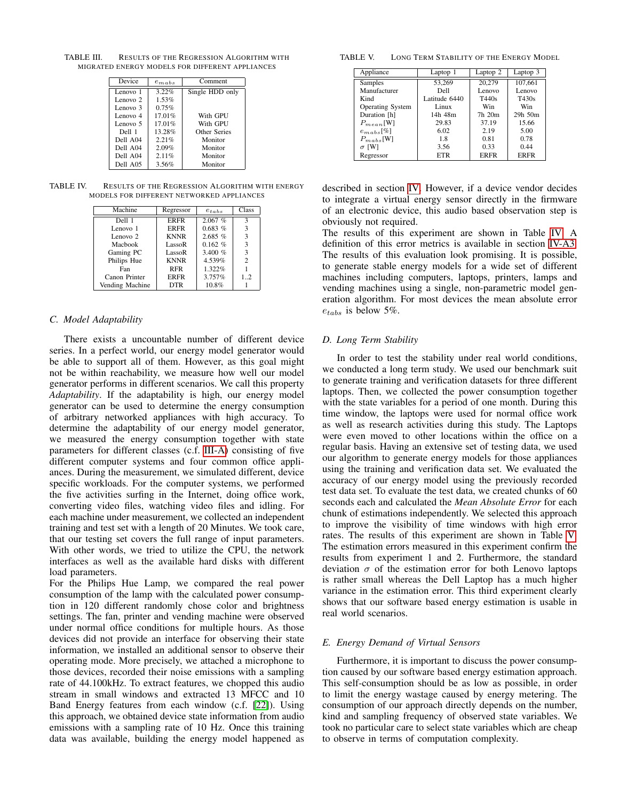TABLE III. RESULTS OF THE REGRESSION ALGORITHM WITH MIGRATED ENERGY MODELS FOR DIFFERENT APPLIANCES

| Device   | $e_{mabs}$ | Comment         |
|----------|------------|-----------------|
| Lenovo 1 | 3.22%      | Single HDD only |
| Lenovo 2 | 1.53%      |                 |
| Lenovo 3 | 0.75%      |                 |
| Lenovo 4 | 17.01%     | With GPU        |
| Lenovo 5 | 17.01%     | With GPU        |
| Dell 1   | 13.28%     | Other Series    |
| Dell A04 | 2.21%      | Monitor         |
| Dell A04 | 2.09%      | Monitor         |
| Dell A04 | 2.11%      | Monitor         |
| Dell A05 | 3.56%      | Monitor         |

TABLE IV. RESULTS OF THE REGRESSION ALGORITHM WITH ENERGY MODELS FOR DIFFERENT NETWORKED APPLIANCES

| Machine         | Regressor   | $e_{tables}$ | Class          |
|-----------------|-------------|--------------|----------------|
| Dell 1          | <b>ERFR</b> | 2.067%       | з              |
| Lenovo 1        | <b>ERFR</b> | 0.683~%      | 3              |
| Lenovo 2        | <b>KNNR</b> | 2.685~%      | 3              |
| Machook         | LassoR      | 0.162%       | 3              |
| Gaming PC       | LassoR      | 3.400 $%$    | 3              |
| Philips Hue     | <b>KNNR</b> | 4.539%       | $\overline{c}$ |
| Fan             | <b>RFR</b>  | 1.322%       |                |
| Canon Printer   | <b>ERFR</b> | 3.757%       | $1_{.}.2$      |
| Vending Machine | <b>DTR</b>  | 10.8%        |                |

#### *C. Model Adaptability*

There exists a uncountable number of different device series. In a perfect world, our energy model generator would be able to support all of them. However, as this goal might not be within reachability, we measure how well our model generator performs in different scenarios. We call this property *Adaptability*. If the adaptability is high, our energy model generator can be used to determine the energy consumption of arbitrary networked appliances with high accuracy. To determine the adaptability of our energy model generator, we measured the energy consumption together with state parameters for different classes (c.f. III-A) consisting of five different computer systems and four common office appliances. During the measurement, we simulated different, device specific workloads. For the computer systems, we performed the five activities surfing in the Internet, doing office work, converting video files, watching video files and idling. For each machine under measurement, we collected an independent training and test set with a length of 20 Minutes. We took care, that our testing set covers the full range of input parameters. With other words, we tried to utilize the CPU, the network interfaces as well as the available hard disks with different load parameters.

For the Philips Hue Lamp, we compared the real power consumption of the lamp with the calculated power consumption in 120 different randomly chose color and brightness settings. The fan, printer and vending machine were observed under normal office conditions for multiple hours. As those devices did not provide an interface for observing their state information, we installed an additional sensor to observe their operating mode. More precisely, we attached a microphone to those devices, recorded their noise emissions with a sampling rate of 44.100kHz. To extract features, we chopped this audio stream in small windows and extracted 13 MFCC and 10 Band Energy features from each window (c.f. [22]). Using this approach, we obtained device state information from audio emissions with a sampling rate of 10 Hz. Once this training data was available, building the energy model happened as

TABLE V. LONG TERM STABILITY OF THE ENERGY MODEL

| Appliance        | Laptop 1      | Laptop 2 | Laptop 3     |
|------------------|---------------|----------|--------------|
| Samples          | 53,269        | 20.279   | 107,661      |
| Manufacturer     | Dell          | Lenovo   | Lenovo       |
| Kind             | Latitude 6440 | T440s    | T430s        |
| Operating System | Linux         | Win      | Win          |
| Duration [h]     | 14h 48m       | 7h 20m   | $29h$ 50 $m$ |
| $P_{mean}$ [W]   | 29.83         | 37.19    | 15.66        |
| $e_{mabs}$ [%]   | 6.02          | 2.19     | 5.00         |
| $P_{mab}$ [W]    | 1.8           | 0.81     | 0.78         |
| $\sigma$ [W]     | 3.56          | 0.33     | 0.44         |
| Regressor        | <b>ETR</b>    | ERFR     | <b>ERFR</b>  |

described in section IV. However, if a device vendor decides to integrate a virtual energy sensor directly in the firmware of an electronic device, this audio based observation step is obviously not required.

The results of this experiment are shown in Table IV. A definition of this error metrics is available in section IV-A3. The results of this evaluation look promising. It is possible, to generate stable energy models for a wide set of different machines including computers, laptops, printers, lamps and vending machines using a single, non-parametric model generation algorithm. For most devices the mean absolute error  $e_{tables}$  is below 5%.

## *D. Long Term Stability*

In order to test the stability under real world conditions, we conducted a long term study. We used our benchmark suit to generate training and verification datasets for three different laptops. Then, we collected the power consumption together with the state variables for a period of one month. During this time window, the laptops were used for normal office work as well as research activities during this study. The Laptops were even moved to other locations within the office on a regular basis. Having an extensive set of testing data, we used our algorithm to generate energy models for those appliances using the training and verification data set. We evaluated the accuracy of our energy model using the previously recorded test data set. To evaluate the test data, we created chunks of 60 seconds each and calculated the *Mean Absolute Error* for each chunk of estimations independently. We selected this approach to improve the visibility of time windows with high error rates. The results of this experiment are shown in Table V. The estimation errors measured in this experiment confirm the results from experiment 1 and 2. Furthermore, the standard deviation  $\sigma$  of the estimation error for both Lenovo laptops is rather small whereas the Dell Laptop has a much higher variance in the estimation error. This third experiment clearly shows that our software based energy estimation is usable in real world scenarios.

#### *E. Energy Demand of Virtual Sensors*

Furthermore, it is important to discuss the power consumption caused by our software based energy estimation approach. This self-consumption should be as low as possible, in order to limit the energy wastage caused by energy metering. The consumption of our approach directly depends on the number, kind and sampling frequency of observed state variables. We took no particular care to select state variables which are cheap to observe in terms of computation complexity.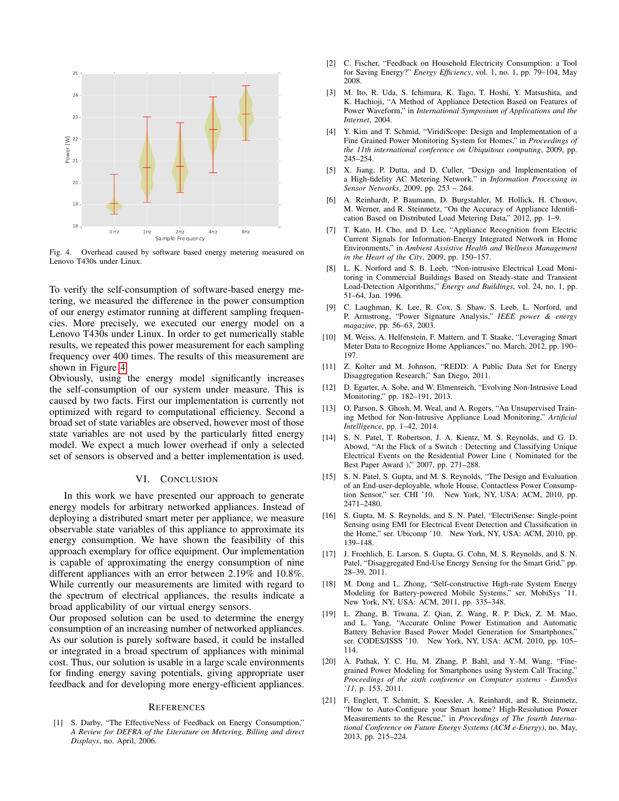

Fig. 4. Overhead caused by software based energy metering measured on Lenovo T430s under Linux.

To verify the self-consumption of software-based energy metering, we measured the difference in the power consumption of our energy estimator running at different sampling frequencies. More precisely, we executed our energy model on a Lenovo T430s under Linux. In order to get numerically stable results, we repeated this power measurement for each sampling frequency over 400 times. The results of this measurement are shown in Figure 4.

Obviously, using the energy model significantly increases the self-consumption of our system under measure. This is caused by two facts. First our implementation is currently not optimized with regard to computational efficiency. Second a broad set of state variables are observed, however most of those state variables are not used by the particularly fitted energy model. We expect a much lower overhead if only a selected set of sensors is observed and a better implementation is used.

## VI. CONCLUSION

In this work we have presented our approach to generate energy models for arbitrary networked appliances. Instead of deploying a distributed smart meter per appliance, we measure observable state variables of this appliance to approximate its energy consumption. We have shown the feasibility of this approach exemplary for office equipment. Our implementation is capable of approximating the energy consumption of nine different appliances with an error between 2.19% and 10.8%. While currently our measurements are limited with regard to the spectrum of electrical appliances, the results indicate a broad applicability of our virtual energy sensors.

Our proposed solution can be used to determine the energy consumption of an increasing number of networked appliances. As our solution is purely software based, it could be installed or integrated in a broad spectrum of appliances with minimal cost. Thus, our solution is usable in a large scale environments for finding energy saving potentials, giving appropriate user feedback and for developing more energy-efficient appliances.

#### **REFERENCES**

[1] S. Darby, "The EffectiveNess of Feedback on Energy Consumption," *A Review for DEFRA of the Literature on Metering, Billing and direct Displays*, no. April, 2006.

- [2] C. Fischer, "Feedback on Household Electricity Consumption: a Tool for Saving Energy?" *Energy Efficiency*, vol. 1, no. 1, pp. 79–104, May 2008.
- [3] M. Ito, R. Uda, S. Ichimura, K. Tago, T. Hoshi, Y. Matsushita, and K. Hachioji, "A Method of Appliance Detection Based on Features of Power Waveform," in *International Symposium of Applications and the Internet*, 2004.
- [4] Y. Kim and T. Schmid, "ViridiScope: Design and Implementation of a Fine Grained Power Monitoring System for Homes," in *Proceedings of the 11th international conference on Ubiquitous computing*, 2009, pp. 245–254.
- [5] X. Jiang, P. Dutta, and D. Culler, "Design and Implementation of a High-fidelity AC Metering Network." in *Information Processing in Sensor Networks*, 2009, pp. 253 – 264.
- [6] A. Reinhardt, P. Baumann, D. Burgstahler, M. Hollick, H. Chonov, M. Werner, and R. Steinmetz, "On the Accuracy of Appliance Identification Based on Distributed Load Metering Data," 2012, pp. 1–9.
- [7] T. Kato, H. Cho, and D. Lee, "Appliance Recognition from Electric Current Signals for Information-Energy Integrated Network in Home Environments," in *Ambient Assistive Health and Wellness Management in the Heart of the City*, 2009, pp. 150–157.
- [8] L. K. Norford and S. B. Leeb, "Non-intrusive Electrical Load Monitoring in Commercial Buildings Based on Steady-state and Transient Load-Detection Algorithms," *Energy and Buildings*, vol. 24, no. 1, pp. 51–64, Jan. 1996.
- [9] C. Laughman, K. Lee, R. Cox, S. Shaw, S. Leeb, L. Norford, and P. Armstrong, "Power Signature Analysis," *IEEE power & energy magazine*, pp. 56–63, 2003.
- [10] M. Weiss, A. Helfenstein, F. Mattern, and T. Staake, "Leveraging Smart" Meter Data to Recognize Home Appliances," no. March, 2012, pp. 190– 197.
- [11] Z. Kolter and M. Johnson, "REDD: A Public Data Set for Energy Disaggregation Research," San Diego, 2011.
- [12] D. Egarter, A. Sobe, and W. Elmenreich, "Evolving Non-Intrusive Load Monitoring," pp. 182–191, 2013.
- [13] O. Parson, S. Ghosh, M. Weal, and A. Rogers, "An Unsupervised Training Method for Non-Intrusive Appliance Load Monitoring," *Artificial Intelligence*, pp. 1–42, 2014.
- [14] S. N. Patel, T. Robertson, J. A. Kientz, M. S. Reynolds, and G. D. Abowd, "At the Flick of a Switch : Detecting and Classifying Unique Electrical Events on the Residential Power Line ( Nominated for the Best Paper Award )," 2007, pp. 271–288.
- [15] S. N. Patel, S. Gupta, and M. S. Reynolds, "The Design and Evaluation of an End-user-deployable, whole House, Contactless Power Consumption Sensor," ser. CHI '10. New York, NY, USA: ACM, 2010, pp. 2471–2480.
- [16] S. Gupta, M. S. Reynolds, and S. N. Patel, "ElectriSense: Single-point Sensing using EMI for Electrical Event Detection and Classification in the Home," ser. Ubicomp '10. New York, NY, USA: ACM, 2010, pp. 139–148.
- [17] J. Froehlich, E. Larson, S. Gupta, G. Cohn, M. S. Reynolds, and S. N. Patel, "Disaggregated End-Use Energy Sensing for the Smart Grid," pp. 28–39, 2011.
- [18] M. Dong and L. Zhong, "Self-constructive High-rate System Energy Modeling for Battery-powered Mobile Systems," ser. MobiSys '11. New York, NY, USA: ACM, 2011, pp. 335–348.
- [19] L. Zhang, B. Tiwana, Z. Qian, Z. Wang, R. P. Dick, Z. M. Mao, and L. Yang, "Accurate Online Power Estimation and Automatic Battery Behavior Based Power Model Generation for Smartphones," ser. CODES/ISSS '10. New York, NY, USA: ACM, 2010, pp. 105– 114.
- [20] A. Pathak, Y. C. Hu, M. Zhang, P. Bahl, and Y.-M. Wang, "Finegrained Power Modeling for Smartphones using System Call Tracing," *Proceedings of the sixth conference on Computer systems - EuroSys '11*, p. 153, 2011.
- [21] F. Englert, T. Schmitt, S. Koessler, A. Reinhardt, and R. Steinmetz, "How to Auto-Configure your Smart home? High-Resolution Power Measurements to the Rescue," in *Proceedings of The fourth International Conference on Future Energy Systems (ACM e-Energy)*, no. May, 2013, pp. 215–224.